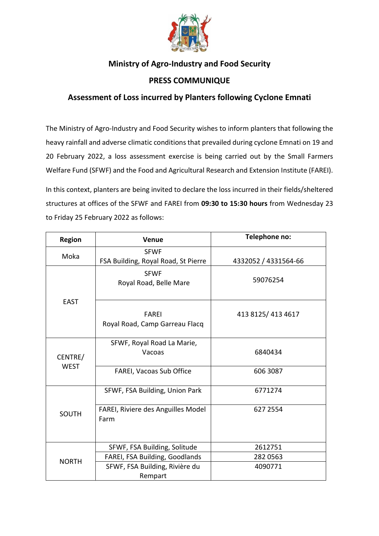

## **Ministry of Agro-Industry and Food Security**

## **PRESS COMMUNIQUE**

## **Assessment of Loss incurred by Planters following Cyclone Emnati**

The Ministry of Agro-Industry and Food Security wishes to inform planters that following the heavy rainfall and adverse climatic conditions that prevailed during cyclone Emnati on 19 and 20 February 2022, a loss assessment exercise is being carried out by the Small Farmers Welfare Fund (SFWF) and the Food and Agricultural Research and Extension Institute (FAREI).

In this context, planters are being invited to declare the loss incurred in their fields/sheltered structures at offices of the SFWF and FAREI from **09:30 to 15:30 hours** from Wednesday 23 to Friday 25 February 2022 as follows:

| <b>Region</b>          | <b>Venue</b>                                       | Telephone no:        |
|------------------------|----------------------------------------------------|----------------------|
| Moka                   | <b>SFWF</b><br>FSA Building, Royal Road, St Pierre | 4332052 / 4331564-66 |
| <b>EAST</b>            | <b>SFWF</b><br>Royal Road, Belle Mare              | 59076254             |
|                        | <b>FAREI</b><br>Royal Road, Camp Garreau Flacq     | 413 8125/413 4617    |
| CENTRE/<br><b>WEST</b> | SFWF, Royal Road La Marie,<br>Vacoas               | 6840434              |
|                        | FAREI, Vacoas Sub Office                           | 606 3087             |
| <b>SOUTH</b>           | SFWF, FSA Building, Union Park                     | 6771274              |
|                        | FAREI, Riviere des Anguilles Model<br>Farm         | 627 2554             |
| <b>NORTH</b>           | SFWF, FSA Building, Solitude                       | 2612751              |
|                        | FAREI, FSA Building, Goodlands                     | 282 0563             |
|                        | SFWF, FSA Building, Rivière du<br>Rempart          | 4090771              |